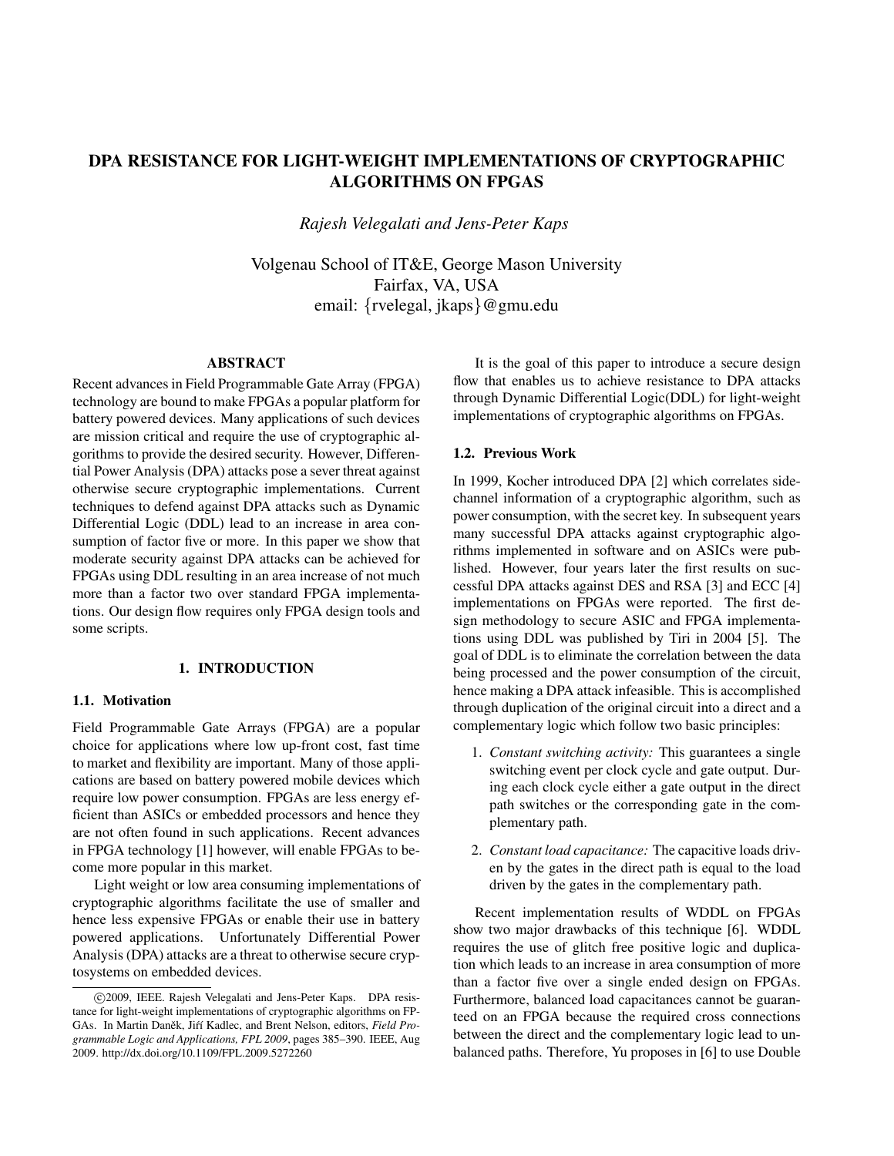# DPA RESISTANCE FOR LIGHT-WEIGHT IMPLEMENTATIONS OF CRYPTOGRAPHIC ALGORITHMS ON FPGAS

*Rajesh Velegalati and Jens-Peter Kaps*

Volgenau School of IT&E, George Mason University Fairfax, VA, USA email: *{*rvelegal, jkaps*}*@gmu.edu

## ABSTRACT

Recent advances in Field Programmable Gate Array (FPGA) technology are bound to make FPGAs a popular platform for battery powered devices. Many applications of such devices are mission critical and require the use of cryptographic algorithms to provide the desired security. However, Differential Power Analysis (DPA) attacks pose a sever threat against otherwise secure cryptographic implementations. Current techniques to defend against DPA attacks such as Dynamic Differential Logic (DDL) lead to an increase in area consumption of factor five or more. In this paper we show that moderate security against DPA attacks can be achieved for FPGAs using DDL resulting in an area increase of not much more than a factor two over standard FPGA implementations. Our design flow requires only FPGA design tools and some scripts.

## 1. INTRODUCTION

#### 1.1. Motivation

Field Programmable Gate Arrays (FPGA) are a popular choice for applications where low up-front cost, fast time to market and flexibility are important. Many of those applications are based on battery powered mobile devices which require low power consumption. FPGAs are less energy efficient than ASICs or embedded processors and hence they are not often found in such applications. Recent advances in FPGA technology [1] however, will enable FPGAs to become more popular in this market.

Light weight or low area consuming implementations of cryptographic algorithms facilitate the use of smaller and hence less expensive FPGAs or enable their use in battery powered applications. Unfortunately Differential Power Analysis (DPA) attacks are a threat to otherwise secure cryptosystems on embedded devices.

It is the goal of this paper to introduce a secure design flow that enables us to achieve resistance to DPA attacks through Dynamic Differential Logic(DDL) for light-weight implementations of cryptographic algorithms on FPGAs.

#### 1.2. Previous Work

In 1999, Kocher introduced DPA [2] which correlates sidechannel information of a cryptographic algorithm, such as power consumption, with the secret key. In subsequent years many successful DPA attacks against cryptographic algorithms implemented in software and on ASICs were published. However, four years later the first results on successful DPA attacks against DES and RSA [3] and ECC [4] implementations on FPGAs were reported. The first design methodology to secure ASIC and FPGA implementations using DDL was published by Tiri in 2004 [5]. The goal of DDL is to eliminate the correlation between the data being processed and the power consumption of the circuit, hence making a DPA attack infeasible. This is accomplished through duplication of the original circuit into a direct and a complementary logic which follow two basic principles:

- 1. *Constant switching activity:* This guarantees a single switching event per clock cycle and gate output. During each clock cycle either a gate output in the direct path switches or the corresponding gate in the complementary path.
- 2. *Constant load capacitance:* The capacitive loads driven by the gates in the direct path is equal to the load driven by the gates in the complementary path.

Recent implementation results of WDDL on FPGAs show two major drawbacks of this technique [6]. WDDL requires the use of glitch free positive logic and duplication which leads to an increase in area consumption of more than a factor five over a single ended design on FPGAs. Furthermore, balanced load capacitances cannot be guaranteed on an FPGA because the required cross connections between the direct and the complementary logic lead to unbalanced paths. Therefore, Yu proposes in [6] to use Double

 $©2009$ , IEEE. Rajesh Velegalati and Jens-Peter Kaps. DPA resistance for light-weight implementations of cryptographic algorithms on FP-GAs. In Martin Daněk, Jiří Kadlec, and Brent Nelson, editors, Field Pro*grammable Logic and Applications, FPL 2009*, pages 385–390. IEEE, Aug 2009. http://dx.doi.org/10.1109/FPL.2009.5272260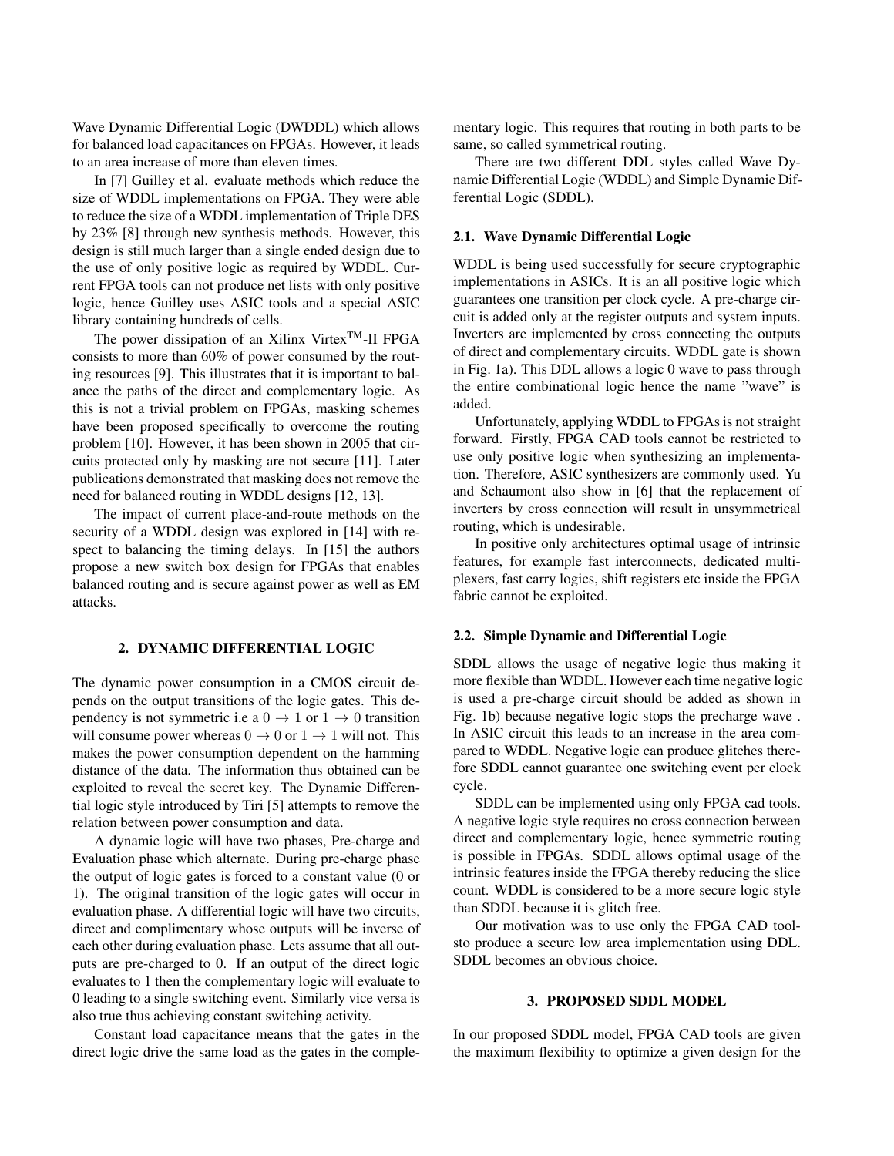Wave Dynamic Differential Logic (DWDDL) which allows for balanced load capacitances on FPGAs. However, it leads to an area increase of more than eleven times.

In [7] Guilley et al. evaluate methods which reduce the size of WDDL implementations on FPGA. They were able to reduce the size of a WDDL implementation of Triple DES by 23% [8] through new synthesis methods. However, this design is still much larger than a single ended design due to the use of only positive logic as required by WDDL. Current FPGA tools can not produce net lists with only positive logic, hence Guilley uses ASIC tools and a special ASIC library containing hundreds of cells.

The power dissipation of an Xilinx Virtex<sup>TM</sup>-II FPGA consists to more than 60% of power consumed by the routing resources [9]. This illustrates that it is important to balance the paths of the direct and complementary logic. As this is not a trivial problem on FPGAs, masking schemes have been proposed specifically to overcome the routing problem [10]. However, it has been shown in 2005 that circuits protected only by masking are not secure [11]. Later publications demonstrated that masking does not remove the need for balanced routing in WDDL designs [12, 13].

The impact of current place-and-route methods on the security of a WDDL design was explored in [14] with respect to balancing the timing delays. In [15] the authors propose a new switch box design for FPGAs that enables balanced routing and is secure against power as well as EM attacks.

# 2. DYNAMIC DIFFERENTIAL LOGIC

The dynamic power consumption in a CMOS circuit depends on the output transitions of the logic gates. This dependency is not symmetric i.e a  $0 \rightarrow 1$  or  $1 \rightarrow 0$  transition will consume power whereas  $0 \to 0$  or  $1 \to 1$  will not. This makes the power consumption dependent on the hamming distance of the data. The information thus obtained can be exploited to reveal the secret key. The Dynamic Differential logic style introduced by Tiri [5] attempts to remove the relation between power consumption and data.

A dynamic logic will have two phases, Pre-charge and Evaluation phase which alternate. During pre-charge phase the output of logic gates is forced to a constant value (0 or 1). The original transition of the logic gates will occur in evaluation phase. A differential logic will have two circuits, direct and complimentary whose outputs will be inverse of each other during evaluation phase. Lets assume that all outputs are pre-charged to 0. If an output of the direct logic evaluates to 1 then the complementary logic will evaluate to 0 leading to a single switching event. Similarly vice versa is also true thus achieving constant switching activity.

Constant load capacitance means that the gates in the direct logic drive the same load as the gates in the complementary logic. This requires that routing in both parts to be same, so called symmetrical routing.

There are two different DDL styles called Wave Dynamic Differential Logic (WDDL) and Simple Dynamic Differential Logic (SDDL).

#### 2.1. Wave Dynamic Differential Logic

WDDL is being used successfully for secure cryptographic implementations in ASICs. It is an all positive logic which guarantees one transition per clock cycle. A pre-charge circuit is added only at the register outputs and system inputs. Inverters are implemented by cross connecting the outputs of direct and complementary circuits. WDDL gate is shown in Fig. 1a). This DDL allows a logic 0 wave to pass through the entire combinational logic hence the name "wave" is added.

Unfortunately, applying WDDL to FPGAs is not straight forward. Firstly, FPGA CAD tools cannot be restricted to use only positive logic when synthesizing an implementation. Therefore, ASIC synthesizers are commonly used. Yu and Schaumont also show in [6] that the replacement of inverters by cross connection will result in unsymmetrical routing, which is undesirable.

In positive only architectures optimal usage of intrinsic features, for example fast interconnects, dedicated multiplexers, fast carry logics, shift registers etc inside the FPGA fabric cannot be exploited.

## 2.2. Simple Dynamic and Differential Logic

SDDL allows the usage of negative logic thus making it more flexible than WDDL. However each time negative logic is used a pre-charge circuit should be added as shown in Fig. 1b) because negative logic stops the precharge wave . In ASIC circuit this leads to an increase in the area compared to WDDL. Negative logic can produce glitches therefore SDDL cannot guarantee one switching event per clock cycle.

SDDL can be implemented using only FPGA cad tools. A negative logic style requires no cross connection between direct and complementary logic, hence symmetric routing is possible in FPGAs. SDDL allows optimal usage of the intrinsic features inside the FPGA thereby reducing the slice count. WDDL is considered to be a more secure logic style than SDDL because it is glitch free.

Our motivation was to use only the FPGA CAD toolsto produce a secure low area implementation using DDL. SDDL becomes an obvious choice.

#### 3. PROPOSED SDDL MODEL

In our proposed SDDL model, FPGA CAD tools are given the maximum flexibility to optimize a given design for the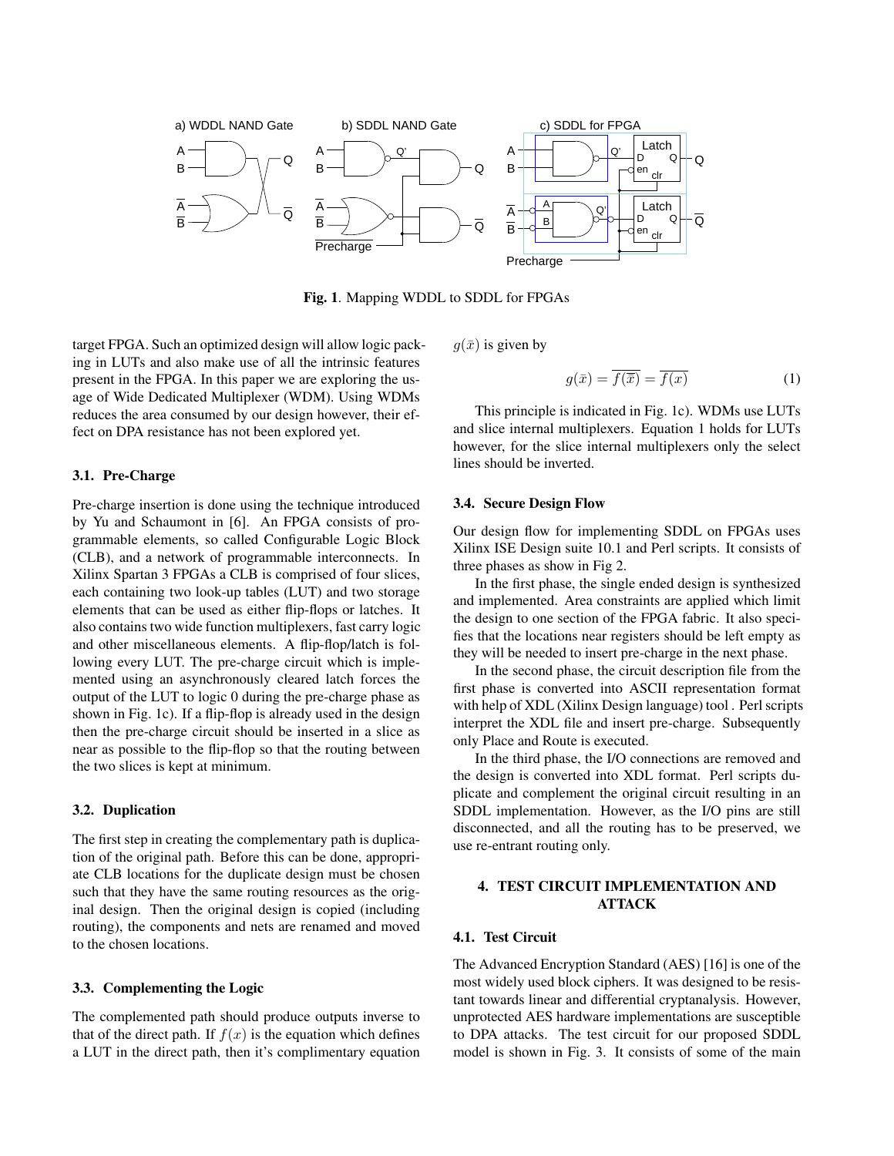

Fig. 1. Mapping WDDL to SDDL for FPGAs

target FPGA. Such an optimized design will allow logic packing in LUTs and also make use of all the intrinsic features present in the FPGA. In this paper we are exploring the usage of Wide Dedicated Multiplexer (WDM). Using WDMs reduces the area consumed by our design however, their effect on DPA resistance has not been explored yet.

#### 3.1. Pre-Charge

Pre-charge insertion is done using the technique introduced by Yu and Schaumont in [6]. An FPGA consists of programmable elements, so called Configurable Logic Block (CLB), and a network of programmable interconnects. In Xilinx Spartan 3 FPGAs a CLB is comprised of four slices, each containing two look-up tables (LUT) and two storage elements that can be used as either flip-flops or latches. It also contains two wide function multiplexers, fast carry logic and other miscellaneous elements. A flip-flop/latch is following every LUT. The pre-charge circuit which is implemented using an asynchronously cleared latch forces the output of the LUT to logic 0 during the pre-charge phase as shown in Fig. 1c). If a flip-flop is already used in the design then the pre-charge circuit should be inserted in a slice as near as possible to the flip-flop so that the routing between the two slices is kept at minimum.

### 3.2. Duplication

The first step in creating the complementary path is duplication of the original path. Before this can be done, appropriate CLB locations for the duplicate design must be chosen such that they have the same routing resources as the original design. Then the original design is copied (including routing), the components and nets are renamed and moved to the chosen locations.

## 3.3. Complementing the Logic

The complemented path should produce outputs inverse to that of the direct path. If  $f(x)$  is the equation which defines a LUT in the direct path, then it's complimentary equation  $q(\bar{x})$  is given by

$$
g(\bar{x}) = \overline{f(\bar{x})} = \overline{f(x)} \tag{1}
$$

This principle is indicated in Fig. 1c). WDMs use LUTs and slice internal multiplexers. Equation 1 holds for LUTs however, for the slice internal multiplexers only the select lines should be inverted.

## 3.4. Secure Design Flow

Our design flow for implementing SDDL on FPGAs uses Xilinx ISE Design suite 10.1 and Perl scripts. It consists of three phases as show in Fig 2.

In the first phase, the single ended design is synthesized and implemented. Area constraints are applied which limit the design to one section of the FPGA fabric. It also specifies that the locations near registers should be left empty as they will be needed to insert pre-charge in the next phase.

In the second phase, the circuit description file from the first phase is converted into ASCII representation format with help of XDL (Xilinx Design language) tool . Perl scripts interpret the XDL file and insert pre-charge. Subsequently only Place and Route is executed.

In the third phase, the I/O connections are removed and the design is converted into XDL format. Perl scripts duplicate and complement the original circuit resulting in an SDDL implementation. However, as the I/O pins are still disconnected, and all the routing has to be preserved, we use re-entrant routing only.

# 4. TEST CIRCUIT IMPLEMENTATION AND ATTACK

## 4.1. Test Circuit

The Advanced Encryption Standard (AES) [16] is one of the most widely used block ciphers. It was designed to be resistant towards linear and differential cryptanalysis. However, unprotected AES hardware implementations are susceptible to DPA attacks. The test circuit for our proposed SDDL model is shown in Fig. 3. It consists of some of the main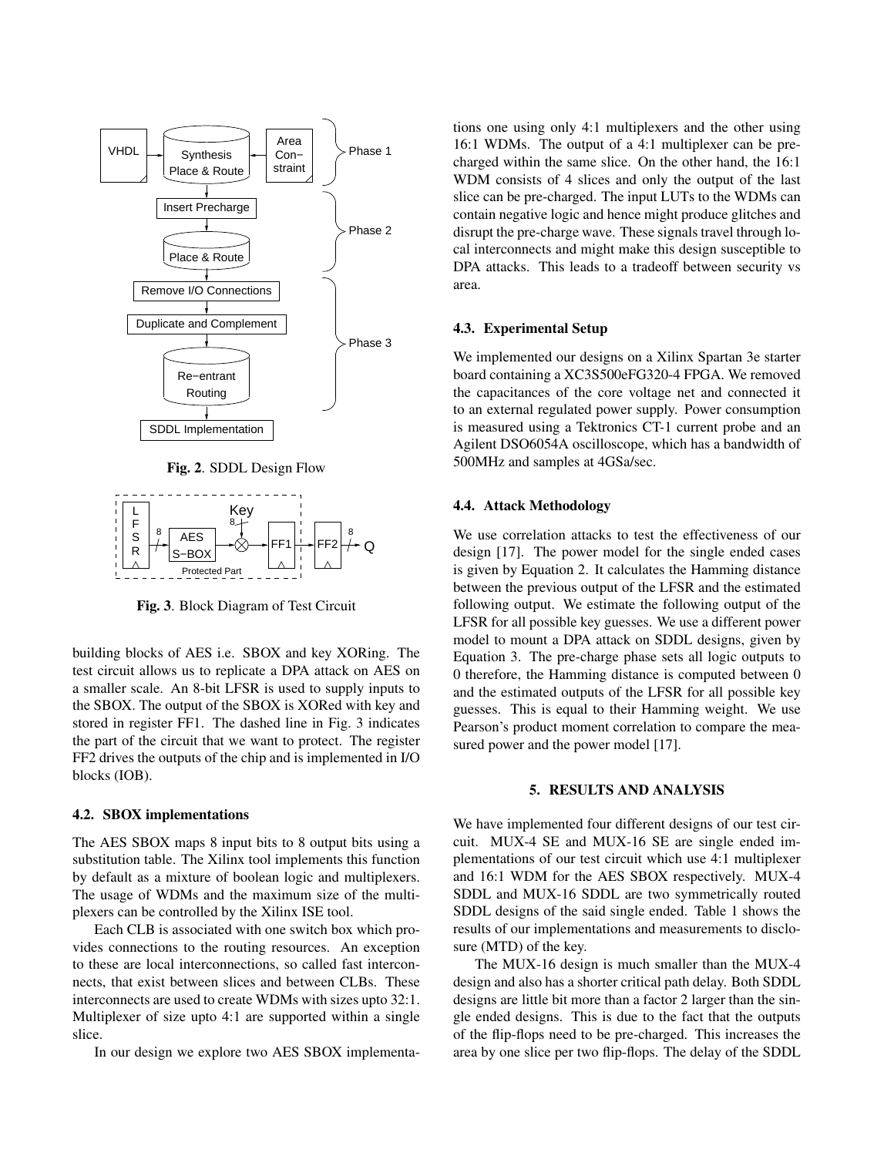

Fig. 2. SDDL Design Flow



Fig. 3. Block Diagram of Test Circuit

building blocks of AES i.e. SBOX and key XORing. The test circuit allows us to replicate a DPA attack on AES on a smaller scale. An 8-bit LFSR is used to supply inputs to the SBOX. The output of the SBOX is XORed with key and stored in register FF1. The dashed line in Fig. 3 indicates the part of the circuit that we want to protect. The register FF2 drives the outputs of the chip and is implemented in I/O blocks (IOB).

#### 4.2. SBOX implementations

The AES SBOX maps 8 input bits to 8 output bits using a substitution table. The Xilinx tool implements this function by default as a mixture of boolean logic and multiplexers. The usage of WDMs and the maximum size of the multiplexers can be controlled by the Xilinx ISE tool.

Each CLB is associated with one switch box which provides connections to the routing resources. An exception to these are local interconnections, so called fast interconnects, that exist between slices and between CLBs. These interconnects are used to create WDMs with sizes upto 32:1. Multiplexer of size upto 4:1 are supported within a single slice.

In our design we explore two AES SBOX implementa-

tions one using only 4:1 multiplexers and the other using 16:1 WDMs. The output of a 4:1 multiplexer can be precharged within the same slice. On the other hand, the 16:1 WDM consists of 4 slices and only the output of the last slice can be pre-charged. The input LUTs to the WDMs can contain negative logic and hence might produce glitches and disrupt the pre-charge wave. These signals travel through local interconnects and might make this design susceptible to DPA attacks. This leads to a tradeoff between security vs area.

## 4.3. Experimental Setup

We implemented our designs on a Xilinx Spartan 3e starter board containing a XC3S500eFG320-4 FPGA. We removed the capacitances of the core voltage net and connected it to an external regulated power supply. Power consumption is measured using a Tektronics CT-1 current probe and an Agilent DSO6054A oscilloscope, which has a bandwidth of 500MHz and samples at 4GSa/sec.

## 4.4. Attack Methodology

We use correlation attacks to test the effectiveness of our design [17]. The power model for the single ended cases is given by Equation 2. It calculates the Hamming distance between the previous output of the LFSR and the estimated following output. We estimate the following output of the LFSR for all possible key guesses. We use a different power model to mount a DPA attack on SDDL designs, given by Equation 3. The pre-charge phase sets all logic outputs to 0 therefore, the Hamming distance is computed between 0 and the estimated outputs of the LFSR for all possible key guesses. This is equal to their Hamming weight. We use Pearson's product moment correlation to compare the measured power and the power model [17].

### 5. RESULTS AND ANALYSIS

We have implemented four different designs of our test circuit. MUX-4 SE and MUX-16 SE are single ended implementations of our test circuit which use 4:1 multiplexer and 16:1 WDM for the AES SBOX respectively. MUX-4 SDDL and MUX-16 SDDL are two symmetrically routed SDDL designs of the said single ended. Table 1 shows the results of our implementations and measurements to disclosure (MTD) of the key.

The MUX-16 design is much smaller than the MUX-4 design and also has a shorter critical path delay. Both SDDL designs are little bit more than a factor 2 larger than the single ended designs. This is due to the fact that the outputs of the flip-flops need to be pre-charged. This increases the area by one slice per two flip-flops. The delay of the SDDL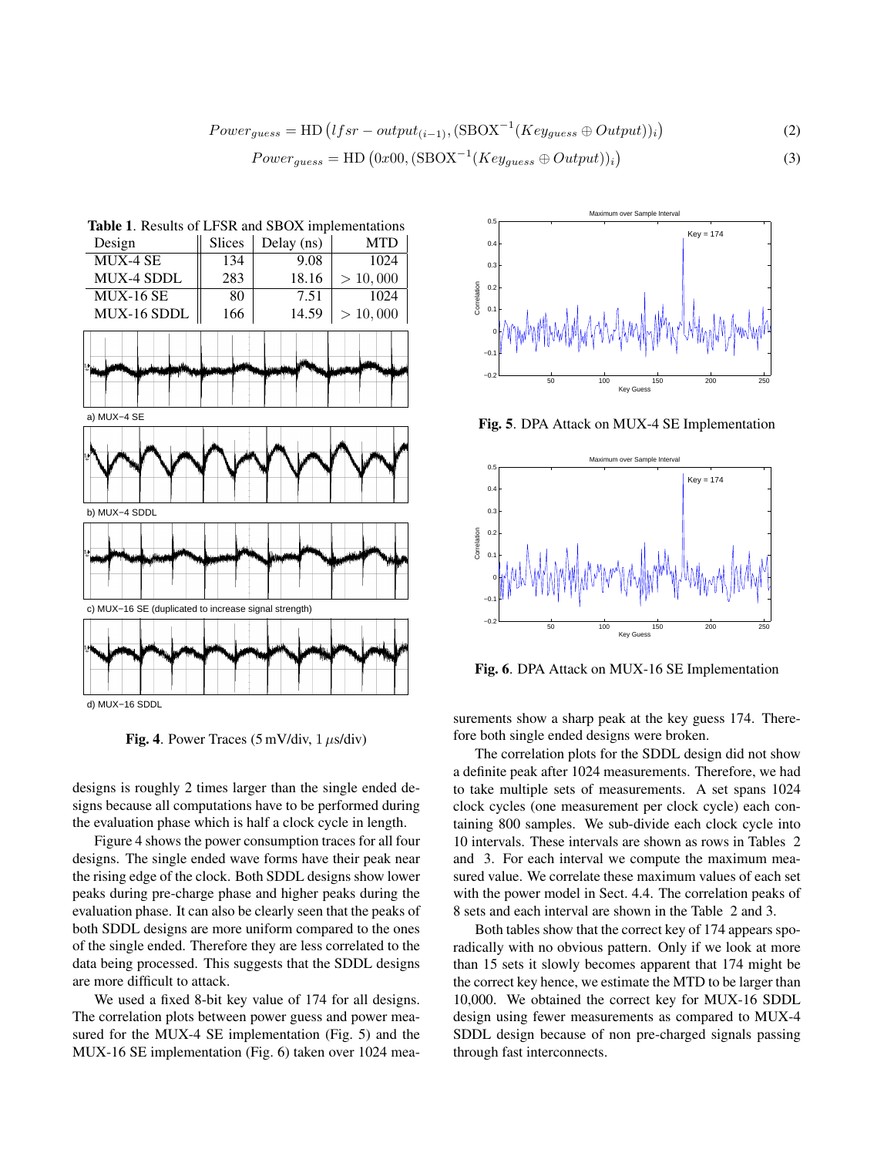$$
Power_{guess} = HD(lfsr - output_{(i-1)}, (SDOX^{-1}(Key_{guess} \oplus Output))_i)
$$
\n(2)

$$
Power_{guess} = HD (0x00, (SBOX^{-1}(Key_{guess} \oplus Output))_i)
$$
\n(3)

 $Design \t | \text{Slices} | \text{Delay} (ns) | \text{MTD}$ MUX-4 SE  $\parallel$  134 9.08 1024 MUX-4 SDDL  $\parallel$  283  $\parallel$  18.16  $\parallel$  > 10*,000* MUX-16 SE 80 7.51 1024 MUX-16 SDDL  $\|$  166  $|$  14.59  $|$  > 10*,000* d) MUX−16 SDDL b) MUX−4 SDDL a) MUX−4 SE c) MUX−16 SE (duplicated to increase signal strength)

Table 1. Results of LFSR and SBOX implementations

Fig. 4. Power Traces (5 mV/div, 1 *µ*s/div)

designs is roughly 2 times larger than the single ended designs because all computations have to be performed during the evaluation phase which is half a clock cycle in length.

Figure 4 shows the power consumption traces for all four designs. The single ended wave forms have their peak near the rising edge of the clock. Both SDDL designs show lower peaks during pre-charge phase and higher peaks during the evaluation phase. It can also be clearly seen that the peaks of both SDDL designs are more uniform compared to the ones of the single ended. Therefore they are less correlated to the data being processed. This suggests that the SDDL designs are more difficult to attack.

We used a fixed 8-bit key value of 174 for all designs. The correlation plots between power guess and power measured for the MUX-4 SE implementation (Fig. 5) and the MUX-16 SE implementation (Fig. 6) taken over 1024 mea-



Fig. 5. DPA Attack on MUX-4 SE Implementation



Fig. 6. DPA Attack on MUX-16 SE Implementation

surements show a sharp peak at the key guess 174. Therefore both single ended designs were broken.

The correlation plots for the SDDL design did not show a definite peak after 1024 measurements. Therefore, we had to take multiple sets of measurements. A set spans 1024 clock cycles (one measurement per clock cycle) each containing 800 samples. We sub-divide each clock cycle into 10 intervals. These intervals are shown as rows in Tables 2 and 3. For each interval we compute the maximum measured value. We correlate these maximum values of each set with the power model in Sect. 4.4. The correlation peaks of 8 sets and each interval are shown in the Table 2 and 3.

Both tables show that the correct key of 174 appears sporadically with no obvious pattern. Only if we look at more than 15 sets it slowly becomes apparent that 174 might be the correct key hence, we estimate the MTD to be larger than 10,000. We obtained the correct key for MUX-16 SDDL design using fewer measurements as compared to MUX-4 SDDL design because of non pre-charged signals passing through fast interconnects.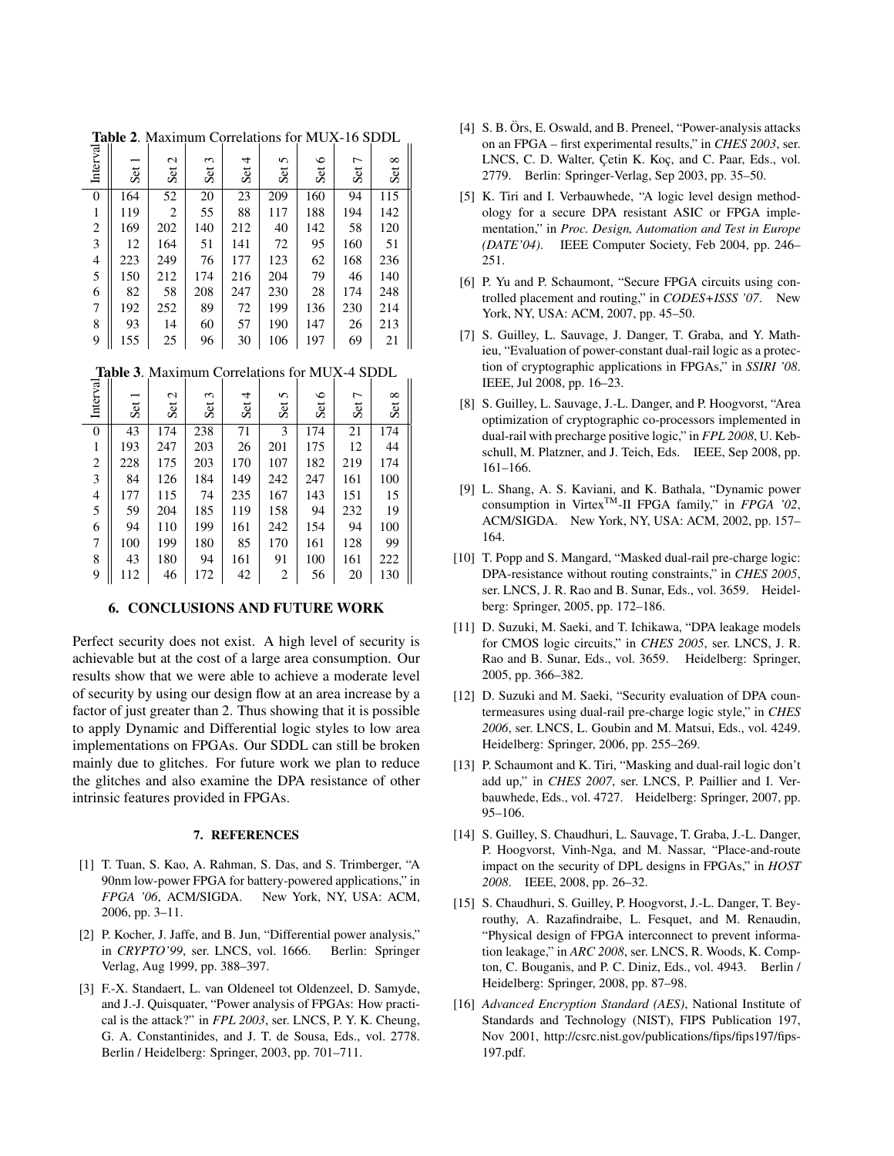| Interva          | Set | Set <sub>2</sub> | $\epsilon$<br>Set | 4<br>Set. | 5<br>Set | $\circ$<br>Set | Set 7 | ${}^{\infty}$<br>Set |
|------------------|-----|------------------|-------------------|-----------|----------|----------------|-------|----------------------|
| $\boldsymbol{0}$ | 164 | 52               | 20                | 23        | 209      | 160            | 94    | 115                  |
| $\mathbf{1}$     | 119 | 2                | 55                | 88        | 117      | 188            | 194   | 142                  |
| $\overline{c}$   | 169 | 202              | 140               | 212       | 40       | 142            | 58    | 120                  |
| 3                | 12  | 164              | 51                | 141       | 72       | 95             | 160   | 51                   |
| 4                | 223 | 249              | 76                | 177       | 123      | 62             | 168   | 236                  |
| 5                | 150 | 212              | 174               | 216       | 204      | 79             | 46    | 140                  |
| 6                | 82  | 58               | 208               | 247       | 230      | 28             | 174   | 248                  |
| $\boldsymbol{7}$ | 192 | 252              | 89                | 72        | 199      | 136            | 230   | 214                  |
| 8                | 93  | 14               | 60                | 57        | 190      | 147            | 26    | 213                  |
| 9                | 155 | 25               | 96                | 30        | 106      | 197            | 69    | 21                   |

Table 2. Maximum Correlations for MUX-16 SDDL

Table 3. Maximum Correlations for MUX-4 SDDL

| Interval         | Set | Set 2 | $\epsilon$<br>Set | 4<br>Set | 5<br>Set | $\circ$<br>Set | Set 7 | $^{\circ}$<br>Set |
|------------------|-----|-------|-------------------|----------|----------|----------------|-------|-------------------|
| $\boldsymbol{0}$ | 43  | 174   | 238               | 71       | 3        | 174            | 21    | 174               |
| $\mathbf{1}$     | 193 | 247   | 203               | 26       | 201      | 175            | 12    | 44                |
| $\sqrt{2}$       | 228 | 175   | 203               | 170      | 107      | 182            | 219   | 174               |
| 3                | 84  | 126   | 184               | 149      | 242      | 247            | 161   | 100               |
| $\overline{4}$   | 177 | 115   | 74                | 235      | 167      | 143            | 151   | 15                |
| 5                | 59  | 204   | 185               | 119      | 158      | 94             | 232   | 19                |
| 6                | 94  | 110   | 199               | 161      | 242      | 154            | 94    | 100               |
| 7                | 100 | 199   | 180               | 85       | 170      | 161            | 128   | 99                |
| 8                | 43  | 180   | 94                | 161      | 91       | 100            | 161   | 222               |
| 9                | 112 | 46    | 172               | 42       | 2        | 56             | 20    | 130               |
|                  |     |       |                   |          |          |                |       |                   |

## 6. CONCLUSIONS AND FUTURE WORK

Perfect security does not exist. A high level of security is achievable but at the cost of a large area consumption. Our results show that we were able to achieve a moderate level of security by using our design flow at an area increase by a factor of just greater than 2. Thus showing that it is possible to apply Dynamic and Differential logic styles to low area implementations on FPGAs. Our SDDL can still be broken mainly due to glitches. For future work we plan to reduce the glitches and also examine the DPA resistance of other intrinsic features provided in FPGAs.

#### 7. REFERENCES

- [1] T. Tuan, S. Kao, A. Rahman, S. Das, and S. Trimberger, "A 90nm low-power FPGA for battery-powered applications," in *FPGA '06*, ACM/SIGDA. New York, NY, USA: ACM, 2006, pp. 3–11.
- [2] P. Kocher, J. Jaffe, and B. Jun, "Differential power analysis," in *CRYPTO'99*, ser. LNCS, vol. 1666. Berlin: Springer Verlag, Aug 1999, pp. 388–397.
- [3] F.-X. Standaert, L. van Oldeneel tot Oldenzeel, D. Samyde, and J.-J. Quisquater, "Power analysis of FPGAs: How practical is the attack?" in *FPL 2003*, ser. LNCS, P. Y. K. Cheung, G. A. Constantinides, and J. T. de Sousa, Eds., vol. 2778. Berlin / Heidelberg: Springer, 2003, pp. 701–711.
- [4] S. B. Örs, E. Oswald, and B. Preneel, "Power-analysis attacks on an FPGA – first experimental results," in *CHES 2003*, ser. LNCS, C. D. Walter, Çetin K. Koç, and C. Paar, Eds., vol. 2779. Berlin: Springer-Verlag, Sep 2003, pp. 35–50.
- [5] K. Tiri and I. Verbauwhede, "A logic level design methodology for a secure DPA resistant ASIC or FPGA implementation," in *Proc. Design, Automation and Test in Europe (DATE'04)*. IEEE Computer Society, Feb 2004, pp. 246– 251.
- [6] P. Yu and P. Schaumont, "Secure FPGA circuits using controlled placement and routing," in *CODES+ISSS '07*. New York, NY, USA: ACM, 2007, pp. 45–50.
- [7] S. Guilley, L. Sauvage, J. Danger, T. Graba, and Y. Mathieu, "Evaluation of power-constant dual-rail logic as a protection of cryptographic applications in FPGAs," in *SSIRI '08*. IEEE, Jul 2008, pp. 16–23.
- [8] S. Guilley, L. Sauvage, J.-L. Danger, and P. Hoogvorst, "Area optimization of cryptographic co-processors implemented in dual-rail with precharge positive logic," in *FPL 2008*, U. Kebschull, M. Platzner, and J. Teich, Eds. IEEE, Sep 2008, pp. 161–166.
- [9] L. Shang, A. S. Kaviani, and K. Bathala, "Dynamic power consumption in Virtex<sup>TM</sup>-II FPGA family," in *FPGA* '02, ACM/SIGDA. New York, NY, USA: ACM, 2002, pp. 157– 164.
- [10] T. Popp and S. Mangard, "Masked dual-rail pre-charge logic: DPA-resistance without routing constraints," in *CHES 2005*, ser. LNCS, J. R. Rao and B. Sunar, Eds., vol. 3659. Heidelberg: Springer, 2005, pp. 172–186.
- [11] D. Suzuki, M. Saeki, and T. Ichikawa, "DPA leakage models for CMOS logic circuits," in *CHES 2005*, ser. LNCS, J. R. Rao and B. Sunar, Eds., vol. 3659. Heidelberg: Springer, 2005, pp. 366–382.
- [12] D. Suzuki and M. Saeki, "Security evaluation of DPA countermeasures using dual-rail pre-charge logic style," in *CHES 2006*, ser. LNCS, L. Goubin and M. Matsui, Eds., vol. 4249. Heidelberg: Springer, 2006, pp. 255–269.
- [13] P. Schaumont and K. Tiri, "Masking and dual-rail logic don't add up," in *CHES 2007*, ser. LNCS, P. Paillier and I. Verbauwhede, Eds., vol. 4727. Heidelberg: Springer, 2007, pp. 95–106.
- [14] S. Guilley, S. Chaudhuri, L. Sauvage, T. Graba, J.-L. Danger, P. Hoogvorst, Vinh-Nga, and M. Nassar, "Place-and-route impact on the security of DPL designs in FPGAs," in *HOST 2008*. IEEE, 2008, pp. 26–32.
- [15] S. Chaudhuri, S. Guilley, P. Hoogvorst, J.-L. Danger, T. Beyrouthy, A. Razafindraibe, L. Fesquet, and M. Renaudin, "Physical design of FPGA interconnect to prevent information leakage," in *ARC 2008*, ser. LNCS, R. Woods, K. Compton, C. Bouganis, and P. C. Diniz, Eds., vol. 4943. Berlin / Heidelberg: Springer, 2008, pp. 87–98.
- [16] *Advanced Encryption Standard (AES)*, National Institute of Standards and Technology (NIST), FIPS Publication 197, Nov 2001, http://csrc.nist.gov/publications/fips/fips197/fips-197.pdf.